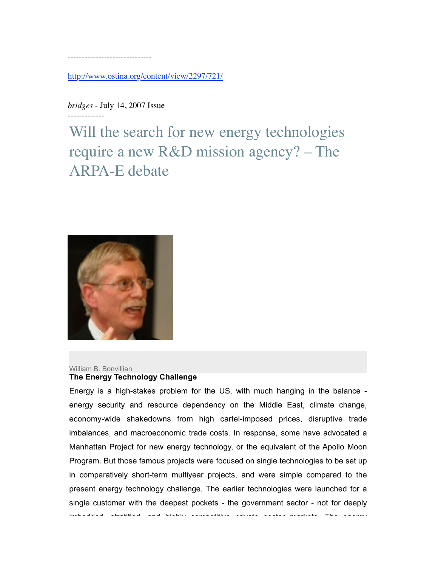<http://www.ostina.org/content/view/2297/721/>

*bridges* - July 14, 2007 Issue

-------------

------------------------------

Will the search for new energy technologies require a new R&D mission agency? – The ARPA-E debate



## William B. Bonvillian **The Energy Technology Challenge**

Energy is a high-stakes problem for the US, with much hanging in the balance energy security and resource dependency on the Middle East, climate change, economy-wide shakedowns from high cartel-imposed prices, disruptive trade imbalances, and macroeconomic trade costs. In response, some have advocated a Manhattan Project for new energy technology, or the equivalent of the Apollo Moon Program. But those famous projects were focused on single technologies to be set up in comparatively short-term multiyear projects, and were simple compared to the present energy technology challenge. The earlier technologies were launched for a single customer with the deepest pockets - the government sector - not for deeply

imbedded, stratified, and highly competitive private sector markets. The energy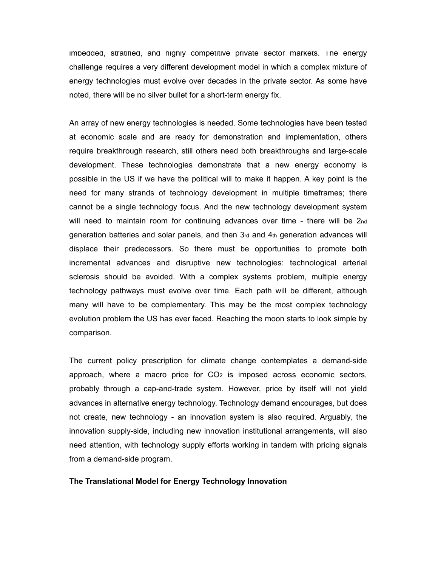imbedded, stratified, and highly competitive private sector markets. The energy challenge requires a very different development model in which a complex mixture of energy technologies must evolve over decades in the private sector. As some have noted, there will be no silver bullet for a short-term energy fix.

An array of new energy technologies is needed. Some technologies have been tested at economic scale and are ready for demonstration and implementation, others require breakthrough research, still others need both breakthroughs and large-scale development. These technologies demonstrate that a new energy economy is possible in the US if we have the political will to make it happen. A key point is the need for many strands of technology development in multiple timeframes; there cannot be a single technology focus. And the new technology development system will need to maintain room for continuing advances over time - there will be 2nd generation batteries and solar panels, and then 3rd and 4th generation advances will displace their predecessors. So there must be opportunities to promote both incremental advances and disruptive new technologies: technological arterial sclerosis should be avoided. With a complex systems problem, multiple energy technology pathways must evolve over time. Each path will be different, although many will have to be complementary. This may be the most complex technology evolution problem the US has ever faced. Reaching the moon starts to look simple by comparison.

The current policy prescription for climate change contemplates a demand-side approach, where a macro price for  $CO<sub>2</sub>$  is imposed across economic sectors, probably through a cap-and-trade system. However, price by itself will not yield advances in alternative energy technology. Technology demand encourages, but does not create, new technology - an innovation system is also required. Arguably, the innovation supply-side, including new innovation institutional arrangements, will also need attention, with technology supply efforts working in tandem with pricing signals from a demand-side program.

## **The Translational Model for Energy Technology Innovation**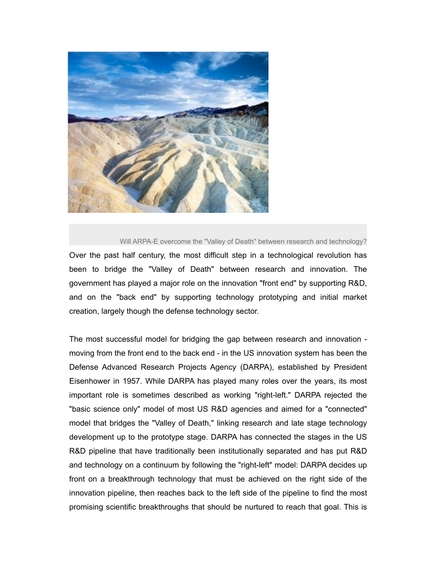

Will ARPA-E overcome the "Valley of Death" between research and technology?

Over the past half century, the most difficult step in a technological revolution has been to bridge the "Valley of Death" between research and innovation. The government has played a major role on the innovation "front end" by supporting R&D, and on the "back end" by supporting technology prototyping and initial market creation, largely though the defense technology sector.

The most successful model for bridging the gap between research and innovation moving from the front end to the back end - in the US innovation system has been the Defense Advanced Research Projects Agency (DARPA), established by President Eisenhower in 1957. While DARPA has played many roles over the years, its most important role is sometimes described as working "right-left." DARPA rejected the "basic science only" model of most US R&D agencies and aimed for a "connected" model that bridges the "Valley of Death," linking research and late stage technology development up to the prototype stage. DARPA has connected the stages in the US R&D pipeline that have traditionally been institutionally separated and has put R&D and technology on a continuum by following the "right-left" model: DARPA decides up front on a breakthrough technology that must be achieved on the right side of the innovation pipeline, then reaches back to the left side of the pipeline to find the most promising scientific breakthroughs that should be nurtured to reach that goal. This is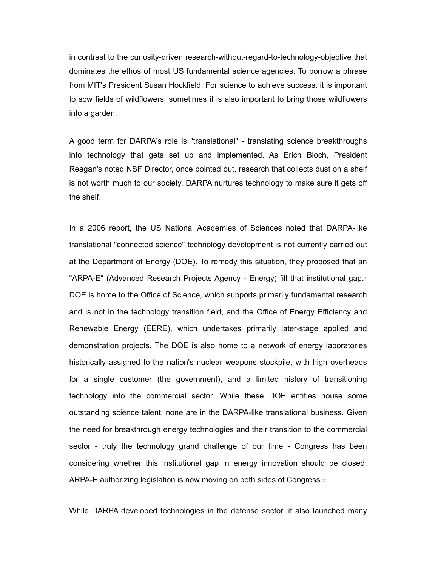in contrast to the curiosity-driven research-without-regard-to-technology-objective that dominates the ethos of most US fundamental science agencies. To borrow a phrase from MIT's President Susan Hockfield: For science to achieve success, it is important to sow fields of wildflowers; sometimes it is also important to bring those wildflowers into a garden.

A good term for DARPA's role is "translational" - translating science breakthroughs into technology that gets set up and implemented. As Erich Bloch, President Reagan's noted NSF Director, once pointed out, research that collects dust on a shelf is not worth much to our society. DARPA nurtures technology to make sure it gets off the shelf.

In a 2006 report, the US National Academies of Sciences noted that DARPA-like translational "connected science" technology development is not currently carried out at the Department of Energy (DOE). To remedy this situation, they proposed that an "ARPA-E" (Advanced Research Projects Agency - Energy) fill that institutional gap[.1](http://www.ostina.org/content/view/2297/721/#footnote%201) DOE is home to the Office of Science, which supports primarily fundamental research and is not in the technology transition field, and the Office of Energy Efficiency and Renewable Energy (EERE), which undertakes primarily later-stage applied and demonstration projects. The DOE is also home to a network of energy laboratories historically assigned to the nation's nuclear weapons stockpile, with high overheads for a single customer (the government), and a limited history of transitioning technology into the commercial sector. While these DOE entities house some outstanding science talent, none are in the DARPA-like translational business. Given the need for breakthrough energy technologies and their transition to the commercial sector - truly the technology grand challenge of our time - Congress has been considering whether this institutional gap in energy innovation should be closed. ARPA-E authorizing legislation is now moving on both sides of Congress.[2](http://www.ostina.org/content/view/2297/721/#footnote%202)

While DARPA developed technologies in the defense sector, it also launched many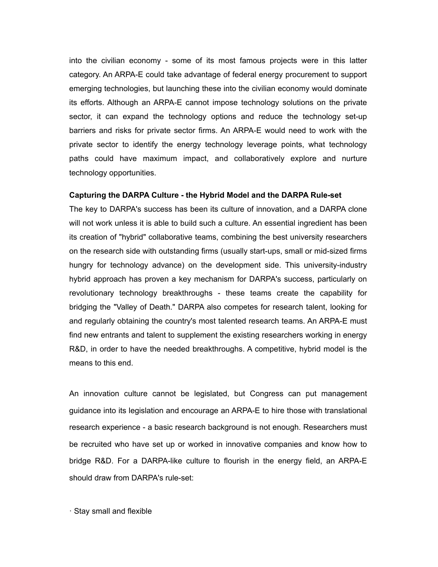into the civilian economy - some of its most famous projects were in this latter category. An ARPA-E could take advantage of federal energy procurement to support emerging technologies, but launching these into the civilian economy would dominate its efforts. Although an ARPA-E cannot impose technology solutions on the private sector, it can expand the technology options and reduce the technology set-up barriers and risks for private sector firms. An ARPA-E would need to work with the private sector to identify the energy technology leverage points, what technology paths could have maximum impact, and collaboratively explore and nurture technology opportunities.

## **Capturing the DARPA Culture - the Hybrid Model and the DARPA Rule-set**

The key to DARPA's success has been its culture of innovation, and a DARPA clone will not work unless it is able to build such a culture. An essential ingredient has been its creation of "hybrid" collaborative teams, combining the best university researchers on the research side with outstanding firms (usually start-ups, small or mid-sized firms hungry for technology advance) on the development side. This university-industry hybrid approach has proven a key mechanism for DARPA's success, particularly on revolutionary technology breakthroughs - these teams create the capability for bridging the "Valley of Death." DARPA also competes for research talent, looking for and regularly obtaining the country's most talented research teams. An ARPA-E must find new entrants and talent to supplement the existing researchers working in energy R&D, in order to have the needed breakthroughs. A competitive, hybrid model is the means to this end.

An innovation culture cannot be legislated, but Congress can put management guidance into its legislation and encourage an ARPA-E to hire those with translational research experience - a basic research background is not enough. Researchers must be recruited who have set up or worked in innovative companies and know how to bridge R&D. For a DARPA-like culture to flourish in the energy field, an ARPA-E should draw from DARPA's rule-set:

· Stay small and flexible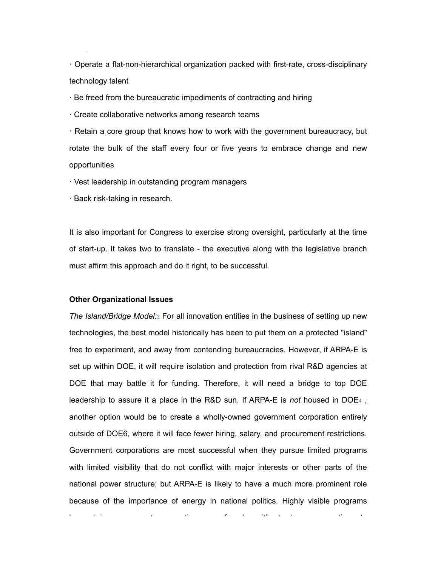· Operate a flat-non-hierarchical organization packed with first-rate, cross-disciplinary technology talent

· Be freed from the bureaucratic impediments of contracting and hiring

· Create collaborative networks among research teams

· Retain a core group that knows how to work with the government bureaucracy, but rotate the bulk of the staff every four or five years to embrace change and new opportunities

· Vest leadership in outstanding program managers

· Back risk-taking in research.

It is also important for Congress to exercise strong oversight, particularly at the time of start-up. It takes two to translate - the executive along with the legislative branch must affirm this approach and do it right, to be successful.

# **Other Organizational Issues**

*The Island/Bridge Model:*[3](http://www.ostina.org/content/view/2297/721/#footnote%203) For all innovation entities in the business of setting up new technologies, the best model historically has been to put them on a protected "island" free to experiment, and away from contending bureaucracies. However, if ARPA-E is set up within DOE, it will require isolation and protection from rival R&D agencies at DOE that may battle it for funding. Therefore, it will need a bridge to top DOE leadership to assure it a place in the R&D sun. If ARPA-E is *not* housed in DOE[4](http://www.ostina.org/content/view/2297/721/#footnote%204) , another option would be to create a wholly-owned government corporation entirely outside of DOE6, where it will face fewer hiring, salary, and procurement restrictions. Government corporations are most successful when they pursue limited programs with limited visibility that do not conflict with major interests or other parts of the national power structure; but ARPA-E is likely to have a much more prominent role because of the importance of energy in national politics. Highly visible programs

housed in government corporations can founder without strong connections to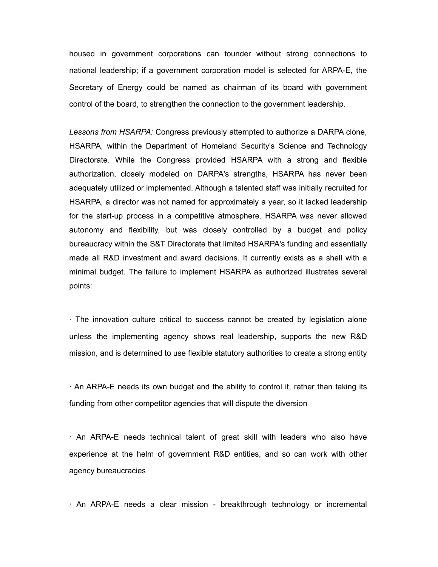housed in government corporations can founder without strong connections to national leadership; if a government corporation model is selected for ARPA-E, the Secretary of Energy could be named as chairman of its board with government control of the board, to strengthen the connection to the government leadership.

*Lessons from HSARPA:* Congress previously attempted to authorize a DARPA clone, HSARPA, within the Department of Homeland Security's Science and Technology Directorate. While the Congress provided HSARPA with a strong and flexible authorization, closely modeled on DARPA's strengths, HSARPA has never been adequately utilized or implemented. Although a talented staff was initially recruited for HSARPA, a director was not named for approximately a year, so it lacked leadership for the start-up process in a competitive atmosphere. HSARPA was never allowed autonomy and flexibility, but was closely controlled by a budget and policy bureaucracy within the S&T Directorate that limited HSARPA's funding and essentially made all R&D investment and award decisions. It currently exists as a shell with a minimal budget. The failure to implement HSARPA as authorized illustrates several points:

· The innovation culture critical to success cannot be created by legislation alone unless the implementing agency shows real leadership, supports the new R&D mission, and is determined to use flexible statutory authorities to create a strong entity

· An ARPA-E needs its own budget and the ability to control it, rather than taking its funding from other competitor agencies that will dispute the diversion

· An ARPA-E needs technical talent of great skill with leaders who also have experience at the helm of government R&D entities, and so can work with other agency bureaucracies

· An ARPA-E needs a clear mission - breakthrough technology or incremental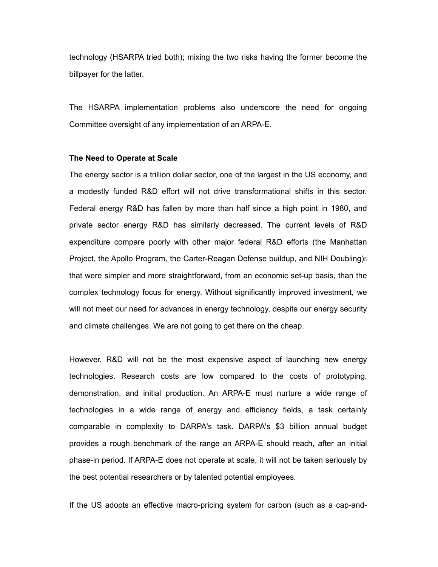technology (HSARPA tried both); mixing the two risks having the former become the billpayer for the latter.

The HSARPA implementation problems also underscore the need for ongoing Committee oversight of any implementation of an ARPA-E.

#### **The Need to Operate at Scale**

The energy sector is a trillion dollar sector, one of the largest in the US economy, and a modestly funded R&D effort will not drive transformational shifts in this sector. Federal energy R&D has fallen by more than half since a high point in 1980, and private sector energy R&D has similarly decreased. The current levels of R&D expenditure compare poorly with other major federal R&D efforts (the Manhattan Project, the Apollo Program, the Carter-Reagan Defense buildup, and NIH Doubling)<sup>5</sup> that were simpler and more straightforward, from an economic set-up basis, than the complex technology focus for energy. Without significantly improved investment, we will not meet our need for advances in energy technology, despite our energy security and climate challenges. We are not going to get there on the cheap.

However, R&D will not be the most expensive aspect of launching new energy technologies. Research costs are low compared to the costs of prototyping, demonstration, and initial production. An ARPA-E must nurture a wide range of technologies in a wide range of energy and efficiency fields, a task certainly comparable in complexity to DARPA's task. DARPA's \$3 billion annual budget provides a rough benchmark of the range an ARPA-E should reach, after an initial phase-in period. If ARPA-E does not operate at scale, it will not be taken seriously by the best potential researchers or by talented potential employees.

If the US adopts an effective macro-pricing system for carbon (such as a cap-and-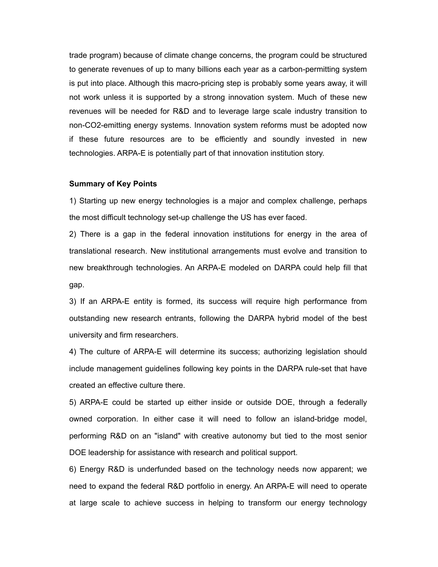trade program) because of climate change concerns, the program could be structured to generate revenues of up to many billions each year as a carbon-permitting system is put into place. Although this macro-pricing step is probably some years away, it will not work unless it is supported by a strong innovation system. Much of these new revenues will be needed for R&D and to leverage large scale industry transition to non-CO2-emitting energy systems. Innovation system reforms must be adopted now if these future resources are to be efficiently and soundly invested in new technologies. ARPA-E is potentially part of that innovation institution story.

#### **Summary of Key Points**

1) Starting up new energy technologies is a major and complex challenge, perhaps the most difficult technology set-up challenge the US has ever faced.

2) There is a gap in the federal innovation institutions for energy in the area of translational research. New institutional arrangements must evolve and transition to new breakthrough technologies. An ARPA-E modeled on DARPA could help fill that gap.

3) If an ARPA-E entity is formed, its success will require high performance from outstanding new research entrants, following the DARPA hybrid model of the best university and firm researchers.

4) The culture of ARPA-E will determine its success; authorizing legislation should include management guidelines following key points in the DARPA rule-set that have created an effective culture there.

5) ARPA-E could be started up either inside or outside DOE, through a federally owned corporation. In either case it will need to follow an island-bridge model, performing R&D on an "island" with creative autonomy but tied to the most senior DOE leadership for assistance with research and political support.

6) Energy R&D is underfunded based on the technology needs now apparent; we need to expand the federal R&D portfolio in energy. An ARPA-E will need to operate at large scale to achieve success in helping to transform our energy technology